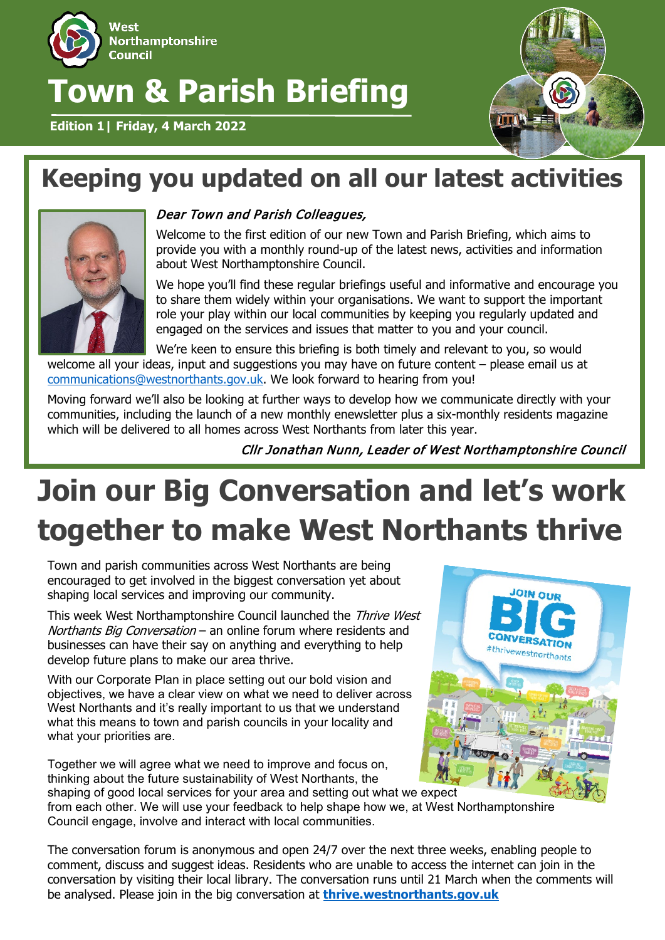

## **Town & Parish Briefing**

**Edition 1| Friday, 4 March 2022**



## **Keeping you updated on all our latest activities**



### Dear Town and Parish Colleagues,

Welcome to the first edition of our new Town and Parish Briefing, which aims to provide you with a monthly round-up of the latest news, activities and information about West Northamptonshire Council.

We hope you'll find these regular briefings useful and informative and encourage you to share them widely within your organisations. We want to support the important role your play within our local communities by keeping you regularly updated and engaged on the services and issues that matter to you and your council.

We're keen to ensure this briefing is both timely and relevant to you, so would welcome all your ideas, input and suggestions you may have on future content – please email us at [communications@westnorthants.gov.uk.](mailto:communications@westnorthants.gov.uk) We look forward to hearing from you!

Moving forward we'll also be looking at further ways to develop how we communicate directly with your communities, including the launch of a new monthly enewsletter plus a six-monthly residents magazine which will be delivered to all homes across West Northants from later this year.

Cllr Jonathan Nunn, Leader of West Northamptonshire Council

# **Join our Big Conversation and let's work together to make West Northants thrive**

Town and parish communities across West Northants are being encouraged to get involved in the biggest conversation yet about shaping local services and improving our community.

This week West Northamptonshire Council launched the Thrive West Northants Big Conversation – an online forum where residents and businesses can have their say on anything and everything to help develop future plans to make our area thrive.

With our Corporate Plan in place setting out our bold vision and objectives, we have a clear view on what we need to deliver across West Northants and it's really important to us that we understand what this means to town and parish councils in your locality and what your priorities are.

Together we will agree what we need to improve and focus on, thinking about the future sustainability of West Northants, the shaping of good local services for your area and setting out what we expect



from each other. We will use your feedback to help shape how we, at West Northamptonshire Council engage, involve and interact with local communities.

The conversation forum is anonymous and open 24/7 over the next three weeks, enabling people to comment, discuss and suggest ideas. Residents who are unable to access the internet can join in the conversation by visiting their local library. The conversation runs until 21 March when the comments will be analysed. Please join in the big conversation at **thrive.westnorthants.gov.uk**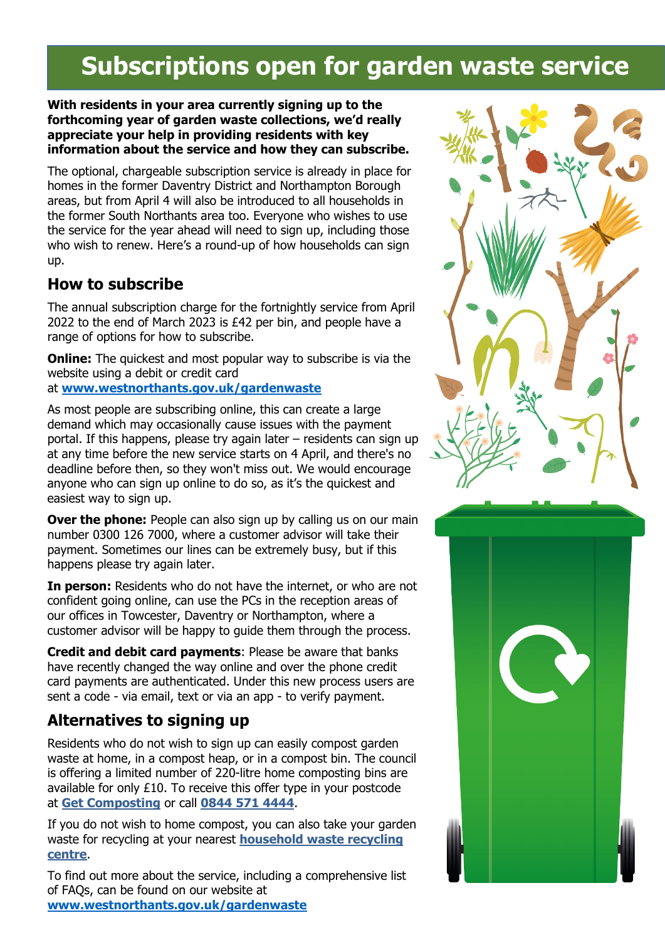## **Subscriptions open for garden waste service**

#### **With residents in your area currently signing up to the forthcoming year of garden waste collections, we'd really appreciate your help in providing residents with key information about the service and how they can subscribe.**

The optional, chargeable subscription service is already in place for homes in the former Daventry District and Northampton Borough areas, but from April 4 will also be introduced to all households in the former South Northants area too. Everyone who wishes to use the service for the year ahead will need to sign up, including those who wish to renew. Here's a round-up of how households can sign up.

### **How to subscribe**

The annual subscription charge for the fortnightly service from April 2022 to the end of March 2023 is £42 per bin, and people have a range of options for how to subscribe.

**Online:** The quickest and most popular way to subscribe is via the website using a debit or credit card

### at **[www.westnorthants.gov.uk/gardenwaste](http://www.westnorthants.gov.uk/gardenwaste)**

As most people are subscribing online, this can create a large demand which may occasionally cause issues with the payment portal. If this happens, please try again later – residents can sign up at any time before the new service starts on 4 April, and there's no deadline before then, so they won't miss out. We would encourage anyone who can sign up online to do so, as it's the quickest and easiest way to sign up.

**Over the phone:** People can also sign up by calling us on our main number 0300 126 7000, where a customer advisor will take their payment. Sometimes our lines can be extremely busy, but if this happens please try again later.

**In person:** Residents who do not have the internet, or who are not confident going online, can use the PCs in the reception areas of our offices in Towcester, Daventry or Northampton, where a customer advisor will be happy to guide them through the process.

**Credit and debit card payments**: Please be aware that banks have recently changed the way online and over the phone credit card payments are authenticated. Under this new process users are sent a code - via email, text or via an app - to verify payment.

### **Alternatives to signing up**

Residents who do not wish to sign up can easily compost garden waste at home, in a compost heap, or in a compost bin. The council is offering a limited number of 220-litre home composting bins are available for only £10. To receive this offer type in your postcode at **Get [Composting](https://www.getcomposting.com/)** or call **[0844](tel:08445714444) 571 4444**.

If you do not wish to home compost, you can also take your garden waste for recycling at your nearest **[household](https://www.northamptonshire.gov.uk/councilservices/waste-and-recycling/household-waste-recycling-centres/Pages/default.aspx) waste recycling [centre](https://www.northamptonshire.gov.uk/councilservices/waste-and-recycling/household-waste-recycling-centres/Pages/default.aspx)**.

To find out more about the service, including a comprehensive list of FAQs, can be found on our website at **[www.westnorthants.gov.uk/gardenwaste](http://www.westnorthants.gov.uk/gardenwaste)**



![](_page_1_Picture_16.jpeg)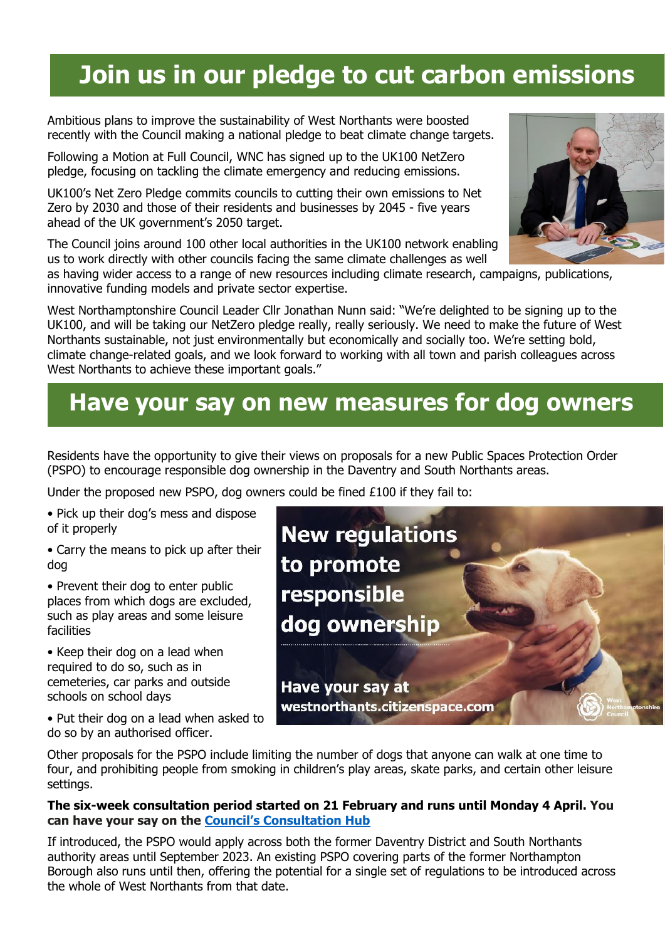## **Join us in our pledge to cut carbon emissions**

Ambitious plans to improve the sustainability of West Northants were boosted recently with the Council making a national pledge to beat climate change targets.

Following a Motion at Full Council, WNC has signed up to the UK100 NetZero pledge, focusing on tackling the climate emergency and reducing emissions.

UK100's Net Zero Pledge commits councils to cutting their own emissions to Net Zero by 2030 and those of their residents and businesses by 2045 - five years ahead of the UK government's 2050 target.

The Council joins around 100 other local authorities in the UK100 network enabling us to work directly with other councils facing the same climate challenges as well

as having wider access to a range of new resources including climate research, campaigns, publications, innovative funding models and private sector expertise.

West Northamptonshire Council Leader Cllr Jonathan Nunn said: "We're delighted to be signing up to the UK100, and will be taking our NetZero pledge really, really seriously. We need to make the future of West Northants sustainable, not just environmentally but economically and socially too. We're setting bold, climate change-related goals, and we look forward to working with all town and parish colleagues across West Northants to achieve these important goals."

### **Have your say on new measures for dog owners**

Residents have the opportunity to give their views on proposals for a new Public Spaces Protection Order (PSPO) to encourage responsible dog ownership in the Daventry and South Northants areas.

Under the proposed new PSPO, dog owners could be fined £100 if they fail to:

- Pick up their dog's mess and dispose of it properly
- Carry the means to pick up after their dog

• Prevent their dog to enter public places from which dogs are excluded, such as play areas and some leisure facilities

• Keep their dog on a lead when required to do so, such as in cemeteries, car parks and outside schools on school days

• Put their dog on a lead when asked to do so by an authorised officer.

![](_page_2_Picture_15.jpeg)

Other proposals for the PSPO include limiting the number of dogs that anyone can walk at one time to four, and prohibiting people from smoking in children's play areas, skate parks, and certain other leisure settings.

#### **The six-week consultation period started on 21 February and runs until Monday 4 April. You can have your say on the Council's [Consultation](https://track.vuelio.uk.com/z.z?l=aHR0cHM6Ly93ZXN0bm9ydGhhbnRzLmNpdGl6ZW5zcGFjZS5jb20vcGxhY2UvcHNwby1kb2ctb3duZXJzaGlwLXNtb2tpbmctcHJvaGliaXRpb24v&r=13693261111&d=15824633&p=1&t=h&h=ee84cab4339aaf752ce5c9c5de991ca1) Hub**

If introduced, the PSPO would apply across both the former Daventry District and South Northants authority areas until September 2023. An existing PSPO covering parts of the former Northampton Borough also runs until then, offering the potential for a single set of regulations to be introduced across the whole of West Northants from that date.

![](_page_2_Picture_19.jpeg)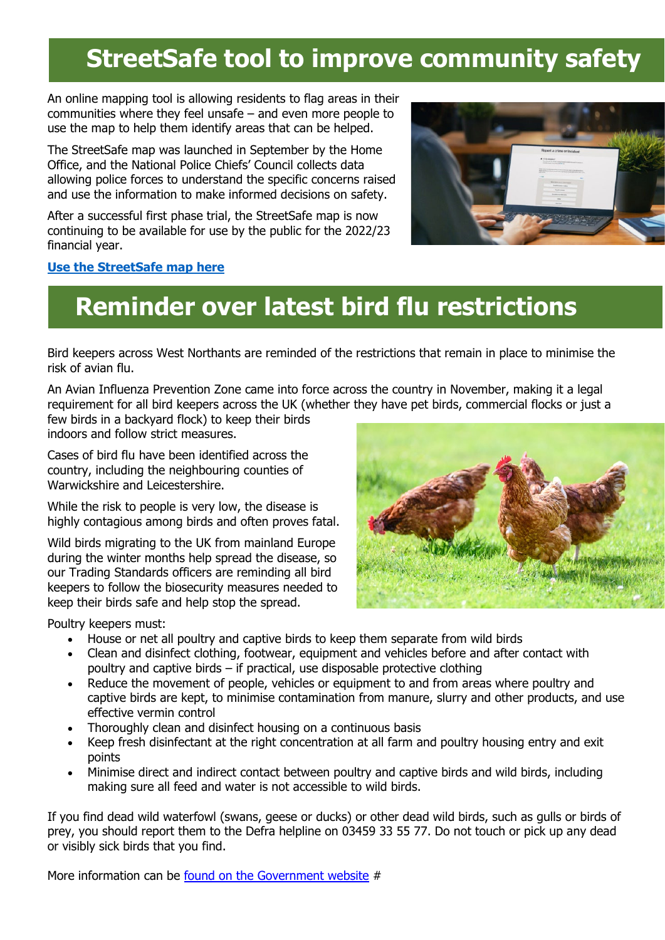## **StreetSafe tool to improve community safety**

An online mapping tool is allowing residents to flag areas in their communities where they feel unsafe – and even more people to use the map to help them identify areas that can be helped.

The StreetSafe map was launched in September by the Home Office, and the National Police Chiefs' Council collects data allowing police forces to understand the specific concerns raised and use the information to make informed decisions on safety.

After a successful first phase trial, the StreetSafe map is now continuing to be available for use by the public for the 2022/23 financial year.

![](_page_3_Picture_4.jpeg)

#### **[Use the StreetSafe map here](https://www.police.uk/pu/notices/streetsafe/street-safe/)**

## **Reminder over latest bird flu restrictions**

Bird keepers across West Northants are reminded of the restrictions that remain in place to minimise the risk of avian flu.

An Avian Influenza Prevention Zone came into force across the country in November, making it a legal requirement for all bird keepers across the UK (whether they have pet birds, commercial flocks or just a

few birds in a backyard flock) to keep their birds indoors and follow strict measures.

Cases of bird flu have been identified across the country, including the neighbouring counties of Warwickshire and Leicestershire.

While the risk to people is very low, the disease is highly contagious among birds and often proves fatal.

Wild birds migrating to the UK from mainland Europe during the winter months help spread the disease, so our Trading Standards officers are reminding all bird keepers to follow the biosecurity measures needed to keep their birds safe and help stop the spread.

![](_page_3_Picture_13.jpeg)

Poultry keepers must:

- House or net all poultry and captive birds to keep them separate from wild birds
- Clean and disinfect clothing, footwear, equipment and vehicles before and after contact with poultry and captive birds – if practical, use disposable protective clothing
- Reduce the movement of people, vehicles or equipment to and from areas where poultry and captive birds are kept, to minimise contamination from manure, slurry and other products, and use effective vermin control
- Thoroughly clean and disinfect housing on a continuous basis
- Keep fresh disinfectant at the right concentration at all farm and poultry housing entry and exit points
- Minimise direct and indirect contact between poultry and captive birds and wild birds, including making sure all feed and water is not accessible to wild birds.

If you find dead wild waterfowl (swans, geese or ducks) or other dead wild birds, such as gulls or birds of prey, you should report them to the Defra helpline on 03459 33 55 77. Do not touch or pick up any dead or visibly sick birds that you find.

More information can be found on the [Government](https://www.gov.uk/guidance/avian-influenza-bird-flu) website #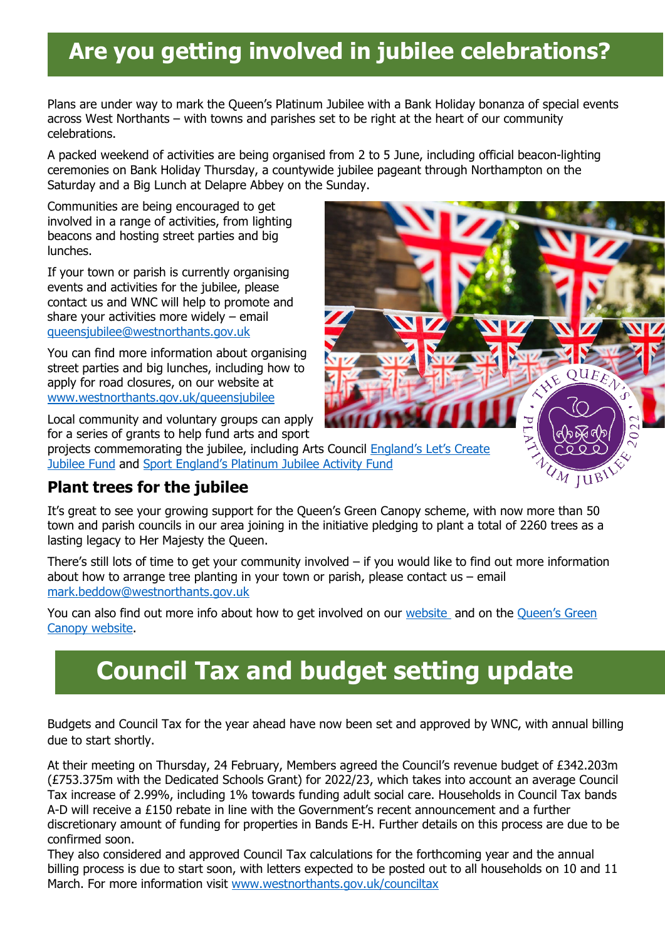### **Are you getting involved in jubilee celebrations?**

Plans are under way to mark the Queen's Platinum Jubilee with a Bank Holiday bonanza of special events across West Northants – with towns and parishes set to be right at the heart of our community celebrations.

A packed weekend of activities are being organised from 2 to 5 June, including official beacon-lighting ceremonies on Bank Holiday Thursday, a countywide jubilee pageant through Northampton on the Saturday and a Big Lunch at Delapre Abbey on the Sunday.

Communities are being encouraged to get involved in a range of activities, from lighting beacons and hosting street parties and big lunches.

If your town or parish is currently organising events and activities for the jubilee, please contact us and WNC will help to promote and share your activities more widely – email [queensjubilee@westnorthants.gov.uk](mailto:queensjubilee@westnorthants.gov.uk)

You can find more information about organising street parties and big lunches, including how to apply for road closures, on our website at [www.westnorthants.gov.uk/queensjubilee](http://www.westnorthants.gov.uk/queensjubilee)

Local community and voluntary groups can apply for a series of grants to help fund arts and sport

projects commemorating the jubilee, including Arts Council [England's Let's Create](https://www.artscouncil.org.uk/our-open-funds/let%E2%80%99s-create-jubilee-fund)  [Jubilee Fund](https://www.artscouncil.org.uk/our-open-funds/let%E2%80%99s-create-jubilee-fund) and [Sport England's Platinum Jubilee Activity Fund](https://www.sportengland.org/how-we-can-help/our-funds/queens-platinum-jubilee-activity-fund#submityourapplication-16505)

### **Plant trees for the jubilee**

It's great to see your growing support for the Queen's Green Canopy scheme, with now more than 50 town and parish councils in our area joining in the initiative pledging to plant a total of 2260 trees as a lasting legacy to Her Majesty the Queen.

XXE QUEEN

UM JUBI

There's still lots of time to get your community involved – if you would like to find out more information about how to arrange tree planting in your town or parish, please contact us  $-$  email [mark.beddow@westnorthants.gov.uk](mailto:mark.beddow@westnorthants.gov.uk)

You can also find out more info about how to get involved on our [website](https://www.westnorthants.gov.uk/queens-green-canopy) and on the [Queen's Green](https://queensgreencanopy.org/get-involved/individuals/)  [Canopy website.](https://queensgreencanopy.org/get-involved/individuals/)

## **Council Tax and budget setting update**

Budgets and Council Tax for the year ahead have now been set and approved by WNC, with annual billing due to start shortly.

At their meeting on Thursday, 24 February, Members agreed the Council's revenue budget of £342.203m (£753.375m with the Dedicated Schools Grant) for 2022/23, which takes into account an average Council Tax increase of 2.99%, including 1% towards funding adult social care. Households in Council Tax bands A-D will receive a £150 rebate in line with the Government's recent announcement and a further discretionary amount of funding for properties in Bands E-H. Further details on this process are due to be confirmed soon.

They also considered and approved Council Tax calculations for the forthcoming year and the annual billing process is due to start soon, with letters expected to be posted out to all households on 10 and 11 March. For more information visit [www.westnorthants.gov.uk/counciltax](http://www.westnorthants.gov.uk/counciltax)